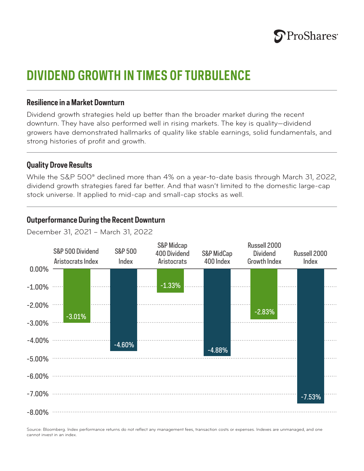

# **DIVIDEND GROWTH IN TIMES OF TURBULENCE**

#### **Resilience in a Market Downturn**

Dividend growth strategies held up better than the broader market during the recent downturn. They have also performed well in rising markets. The key is quality—dividend growers have demonstrated hallmarks of quality like stable earnings, solid fundamentals, and strong histories of profit and growth.

#### **Quality Drove Results**

While the S&P 500® declined more than 4% on a year-to-date basis through March 31, 2022, dividend growth strategies fared far better. And that wasn't limited to the domestic large-cap stock universe. It applied to mid-cap and small-cap stocks as well.

### **Outperformance During the Recent Downturn**

December 31, 2021 – March 31, 2022



Source: Bloomberg. Index performance returns do not reflect any management fees, transaction costs or expenses. Indexes are unmanaged, and one cannot invest in an index.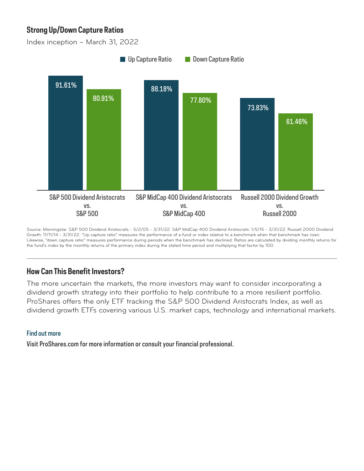## **Strong Up/Down Capture Ratios**

Index inception – March 31, 2022



Source: Morningstar. S&P 500 Dividend Aristocrats - 5/2/05 - 3/31/22. S&P MidCap 400 Dividend Aristocrats: 1/5/15 - 3/31/22. Russell 2000 Dividend Growth: 11/11/14 - 3/31/22. "Up capture ratio" measures the performance of a fund or index relative to a benchmark when that benchmark has risen. Likewise, "down capture ratio" measures performance during periods when the benchmark has declined. Ratios are calculated by dividing monthly returns for the fund's index by the monthly returns of the primary index during the stated time period and multiplying that factor by 100.

## **How Can This Benefit Investors?**

The more uncertain the markets, the more investors may want to consider incorporating a dividend growth strategy into their portfolio to help contribute to a more resilient portfolio. ProShares offers the only ETF tracking the S&P 500 Dividend Aristocrats Index, as well as dividend growth ETFs covering various U.S. market caps, technology and international markets.

#### Find out more

Visit ProShares.com for more information or consult your financial professional.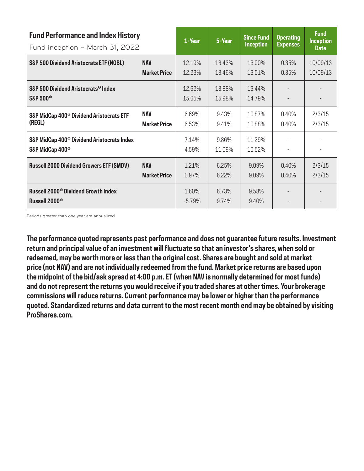| <b>Fund Performance and Index History</b><br>Fund inception - March 31, 2022          |                                   | 1-Year            | 5-Year           | <b>Since Fund</b><br><b>Inception</b> | <b>Operating</b><br><b>Expenses</b> | <b>Fund</b><br><b>Inception</b><br><b>Date</b> |
|---------------------------------------------------------------------------------------|-----------------------------------|-------------------|------------------|---------------------------------------|-------------------------------------|------------------------------------------------|
| <b>S&amp;P 500 Dividend Aristocrats ETF (NOBL)</b>                                    | <b>NAV</b><br><b>Market Price</b> | 12.19%<br>12.23%  | 13.43%<br>13.46% | 13.00%<br>13.01%                      | 0.35%<br>0.35%                      | 10/09/13<br>10/09/13                           |
| S&P 500 Dividend Aristocrats <sup>®</sup> Index<br><b>S&amp;P 500<sup>°</sup></b>     |                                   | 12.62%<br>15.65%  | 13.88%<br>15.98% | 13.44%<br>14.79%                      |                                     |                                                |
| S&P MidCap 400 <sup>®</sup> Dividend Aristocrats ETF<br>(REGL)                        | <b>NAV</b><br><b>Market Price</b> | 6.69%<br>6.53%    | 9.43%<br>9.41%   | 10.87%<br>10.88%                      | 0.40%<br>0.40%                      | 2/3/15<br>2/3/15                               |
| S&P MidCap 400 <sup>®</sup> Dividend Aristocrats Index<br>S&P MidCap 400 <sup>°</sup> |                                   | 7.14%<br>4.59%    | 9.86%<br>11.09%  | 11.29%<br>10.52%                      |                                     |                                                |
| <b>Russell 2000 Dividend Growers ETF (SMDV)</b>                                       | <b>NAV</b><br><b>Market Price</b> | 1.21%<br>0.97%    | 6.25%<br>6.22%   | 9.09%<br>9.09%                        | 0.40%<br>0.40%                      | 2/3/15<br>2/3/15                               |
| <b>Russell 2000<sup>°</sup> Dividend Growth Index</b><br>Russell 2000 <sup>®</sup>    |                                   | 1.60%<br>$-5.79%$ | 6.73%<br>9.74%   | 9.58%<br>9.40%                        |                                     |                                                |

Periods greater than one year are annualized.

**The performance quoted represents past performance and does not guarantee future results. Investment return and principal value of an investment will fluctuate so that an investor's shares, when sold or redeemed, may be worth more or less than the original cost. Shares are bought and sold at market price (not NAV) and are not individually redeemed from the fund. Market price returns are based upon the midpoint of the bid/ask spread at 4:00 p.m. ET (when NAV is normally determined for most funds) and do not represent the returns you would receive if you traded shares at other times. Your brokerage commissions will reduce returns. Current performance may be lower or higher than the performance quoted. Standardized returns and data current to the most recent month end may be obtained by visiting ProShares.com.**